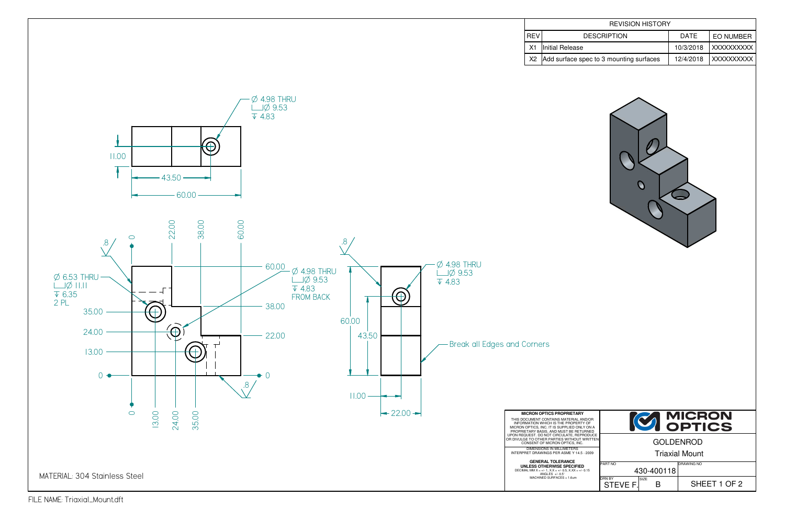|        |                                                                                                                                                                                                                  | <b>REVISION HISTORY</b>  |                    |                         |                  |  |
|--------|------------------------------------------------------------------------------------------------------------------------------------------------------------------------------------------------------------------|--------------------------|--------------------|-------------------------|------------------|--|
| REV    |                                                                                                                                                                                                                  | <b>DESCRIPTION</b>       |                    | <b>DATE</b>             | <b>EO NUMBER</b> |  |
| X1     | Initial Release                                                                                                                                                                                                  |                          |                    | 10/3/2018               | XXXXXXXXX        |  |
| X2     | Add surface spec to 3 mounting surfaces                                                                                                                                                                          |                          |                    | 12/4/2018               | XXXXXXXXX        |  |
| prners |                                                                                                                                                                                                                  |                          |                    |                         |                  |  |
|        |                                                                                                                                                                                                                  |                          |                    |                         |                  |  |
|        | RON OPTICS PROPRIETARY<br>JMENT CONTAINS MATERIAL AND/OR<br><b>ITION WHICH IS THE PROPERTY OF</b><br>PTICS, INC. IT IS SUPPLIED ONLY ON A<br>ARY BASIS, AND MUST BE RETURNED<br>EST. DO NOT CIRCULATE, REPRODUCE |                          |                    | <b>MICRON</b><br>OPTICS |                  |  |
|        | TO OTHER PARTIES WITHOUT WRITTEN<br>SENT OF MICRON OPTICS, INC.<br><b>IMENSIONS IN MILLIMETERS</b>                                                                                                               | <b>GOLDENROD</b>         |                    |                         |                  |  |
|        | T DRAWINGS PER ASME Y 14.5 - 2009<br><b>GENERAL TOLERANCE</b>                                                                                                                                                    | <b>Triaxial Mount</b>    |                    |                         |                  |  |
|        | ESS OTHERWISE SPECIFIED<br>MM X = +/- 1, X.X = +/- 0.5, X.XX = +/- 0.15<br>ANGLES +/- 0.5°<br>MACHINED SURFACES = 1.6um                                                                                          | PART NO<br><b>DRN BY</b> | 430-400118<br>SIZE | <b>DRAWING NO</b>       |                  |  |
|        |                                                                                                                                                                                                                  | STEVE F.                 | B                  |                         | SHEET 1 OF 2     |  |